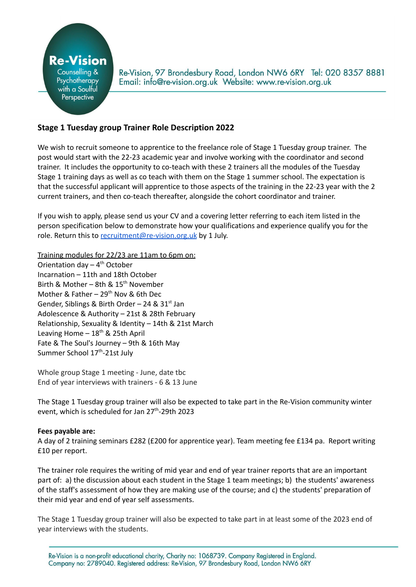

Re-Vision, 97 Brondesbury Road, London NW6 6RY Tel: 020 8357 8881 Email: info@re-vision.org.uk Website: www.re-vision.org.uk

# **Stage 1 Tuesday group Trainer Role Description 2022**

We wish to recruit someone to apprentice to the freelance role of Stage 1 Tuesday group trainer. The post would start with the 22-23 academic year and involve working with the coordinator and second trainer. It includes the opportunity to co-teach with these 2 trainers all the modules of the Tuesday Stage 1 training days as well as co teach with them on the Stage 1 summer school. The expectation is that the successful applicant will apprentice to those aspects of the training in the 22-23 year with the 2 current trainers, and then co-teach thereafter, alongside the cohort coordinator and trainer.

If you wish to apply, please send us your CV and a covering letter referring to each item listed in the person specification below to demonstrate how your qualifications and experience qualify you for the role. Return this to [recruitment@re-vision.org.uk](mailto:recruitment@re-vision.org.uk) by 1 July.

Training modules for 22/23 are 11am to 6pm on: Orientation day - 4<sup>th</sup> October Incarnation – 11th and 18th October Birth & Mother – 8th & 15<sup>th</sup> November Mother & Father - 29<sup>th</sup> Nov & 6th Dec Gender, Siblings & Birth Order - 24 & 31<sup>st</sup> Jan Adolescence & Authority – 21st & 28th February Relationship, Sexuality & Identity – 14th & 21st March Leaving Home - 18<sup>th</sup> & 25th April Fate & The Soul's Journey – 9th & 16th May

Summer School 17<sup>th</sup>-21st July

Whole group Stage 1 meeting - June, date tbc End of year interviews with trainers - 6 & 13 June

The Stage 1 Tuesday group trainer will also be expected to take part in the Re-Vision community winter event, which is scheduled for Jan 27<sup>th</sup>-29th 2023

## **Fees payable are:**

A day of 2 training seminars £282 (£200 for apprentice year). Team meeting fee £134 pa. Report writing £10 per report.

The trainer role requires the writing of mid year and end of year trainer reports that are an important part of: a) the discussion about each student in the Stage 1 team meetings; b) the students' awareness of the staff's assessment of how they are making use of the course; and c) the students' preparation of their mid year and end of year self assessments.

The Stage 1 Tuesday group trainer will also be expected to take part in at least some of the 2023 end of year interviews with the students.